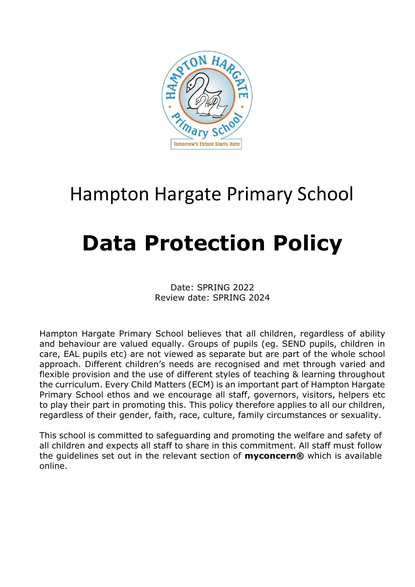

# Hampton Hargate Primary School

# **Data Protection Policy**

Date: SPRING 2022 Review date: SPRING 2024

Hampton Hargate Primary School believes that all children, regardless of ability and behaviour are valued equally. Groups of pupils (eg. SEND pupils, children in care, EAL pupils etc) are not viewed as separate but are part of the whole school approach. Different children's needs are recognised and met through varied and flexible provision and the use of different styles of teaching & learning throughout the curriculum. Every Child Matters (ECM) is an important part of Hampton Hargate Primary School ethos and we encourage all staff, governors, visitors, helpers etc to play their part in promoting this. This policy therefore applies to all our children, regardless of their gender, faith, race, culture, family circumstances or sexuality.

This school is committed to safeguarding and promoting the welfare and safety of all children and expects all staff to share in this commitment. All staff must follow the guidelines set out in the relevant section of **myconcern®** which is available online.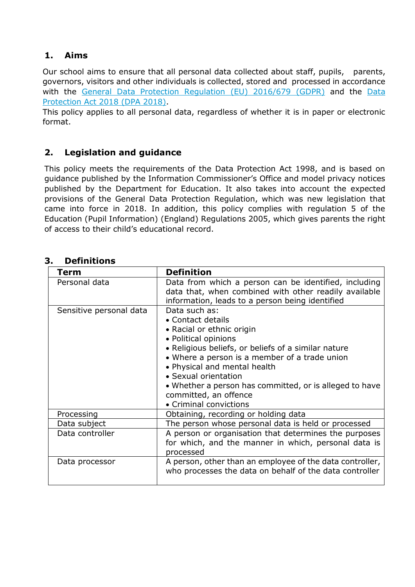# **1. Aims**

Our school aims to ensure that all personal data collected about staff, pupils, parents, governors, visitors and other individuals is collected, stored and processed in accordance with the [General Data Protection Regulation \(EU\) 2016/679 \(GDPR\)](https://eur-lex.europa.eu/legal-content/EN/TXT/?qid=1528874672298&uri=CELEX:02016R0679-20160504) and the [Data](http://www.legislation.gov.uk/ukpga/2018/12/contents/enacted)  [Protection Act 2018 \(DPA 2018\).](http://www.legislation.gov.uk/ukpga/2018/12/contents/enacted)

This policy applies to all personal data, regardless of whether it is in paper or electronic format.

# **2. Legislation and guidance**

This policy meets the requirements of the Data Protection Act 1998, and is based on guidance published by the Information Commissioner's Office and model privacy notices published by the Department for Education. It also takes into account the expected provisions of the General Data Protection Regulation, which was new legislation that came into force in 2018. In addition, this policy complies with regulation 5 of the Education (Pupil Information) (England) Regulations 2005, which gives parents the right of access to their child's educational record.

| Term                    | <b>Definition</b>                                                                                                                                                                                                                                                                                                                                                     |
|-------------------------|-----------------------------------------------------------------------------------------------------------------------------------------------------------------------------------------------------------------------------------------------------------------------------------------------------------------------------------------------------------------------|
| Personal data           | Data from which a person can be identified, including<br>data that, when combined with other readily available<br>information, leads to a person being identified                                                                                                                                                                                                     |
| Sensitive personal data | Data such as:<br>• Contact details<br>• Racial or ethnic origin<br>• Political opinions<br>. Religious beliefs, or beliefs of a similar nature<br>• Where a person is a member of a trade union<br>• Physical and mental health<br>• Sexual orientation<br>• Whether a person has committed, or is alleged to have<br>committed, an offence<br>• Criminal convictions |
| Processing              | Obtaining, recording or holding data                                                                                                                                                                                                                                                                                                                                  |
| Data subject            | The person whose personal data is held or processed                                                                                                                                                                                                                                                                                                                   |
| Data controller         | A person or organisation that determines the purposes<br>for which, and the manner in which, personal data is<br>processed                                                                                                                                                                                                                                            |
| Data processor          | A person, other than an employee of the data controller,<br>who processes the data on behalf of the data controller                                                                                                                                                                                                                                                   |

# **3. Definitions**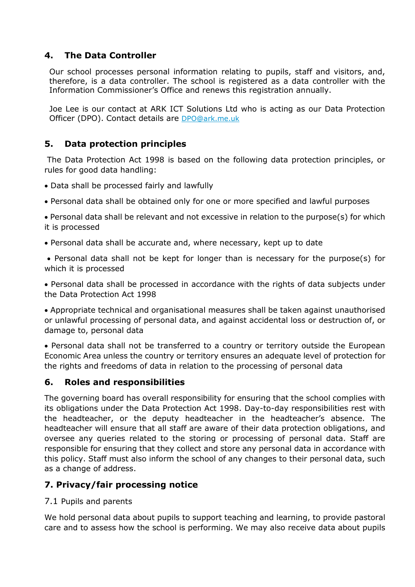# **4. The Data Controller**

Our school processes personal information relating to pupils, staff and visitors, and, therefore, is a data controller. The school is registered as a data controller with the Information Commissioner's Office and renews this registration annually.

Joe Lee is our contact at ARK ICT Solutions Ltd who is acting as our Data Protection Officer (DPO). Contact details are [DPO@ark.me.uk](mailto:DPO@ark.me.uk)

# **5. Data protection principles**

The Data Protection Act 1998 is based on the following data protection principles, or rules for good data handling:

- Data shall be processed fairly and lawfully
- Personal data shall be obtained only for one or more specified and lawful purposes

• Personal data shall be relevant and not excessive in relation to the purpose(s) for which it is processed

• Personal data shall be accurate and, where necessary, kept up to date

• Personal data shall not be kept for longer than is necessary for the purpose(s) for which it is processed

• Personal data shall be processed in accordance with the rights of data subjects under the Data Protection Act 1998

• Appropriate technical and organisational measures shall be taken against unauthorised or unlawful processing of personal data, and against accidental loss or destruction of, or damage to, personal data

• Personal data shall not be transferred to a country or territory outside the European Economic Area unless the country or territory ensures an adequate level of protection for the rights and freedoms of data in relation to the processing of personal data

# **6. Roles and responsibilities**

The governing board has overall responsibility for ensuring that the school complies with its obligations under the Data Protection Act 1998. Day-to-day responsibilities rest with the headteacher, or the deputy headteacher in the headteacher's absence. The headteacher will ensure that all staff are aware of their data protection obligations, and oversee any queries related to the storing or processing of personal data. Staff are responsible for ensuring that they collect and store any personal data in accordance with this policy. Staff must also inform the school of any changes to their personal data, such as a change of address.

# **7. Privacy/fair processing notice**

#### 7.1 Pupils and parents

We hold personal data about pupils to support teaching and learning, to provide pastoral care and to assess how the school is performing. We may also receive data about pupils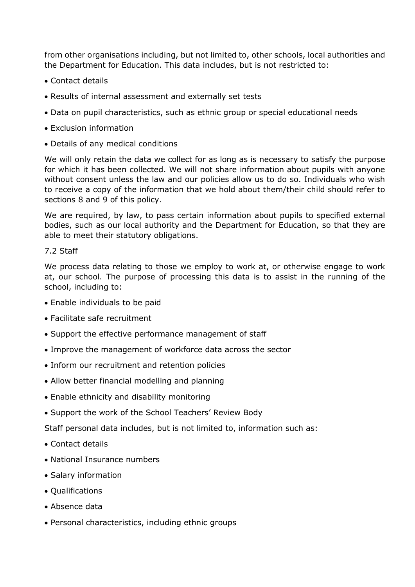from other organisations including, but not limited to, other schools, local authorities and the Department for Education. This data includes, but is not restricted to:

- Contact details
- Results of internal assessment and externally set tests
- Data on pupil characteristics, such as ethnic group or special educational needs
- Exclusion information
- Details of any medical conditions

We will only retain the data we collect for as long as is necessary to satisfy the purpose for which it has been collected. We will not share information about pupils with anyone without consent unless the law and our policies allow us to do so. Individuals who wish to receive a copy of the information that we hold about them/their child should refer to sections 8 and 9 of this policy.

We are required, by law, to pass certain information about pupils to specified external bodies, such as our local authority and the Department for Education, so that they are able to meet their statutory obligations.

#### 7.2 Staff

We process data relating to those we employ to work at, or otherwise engage to work at, our school. The purpose of processing this data is to assist in the running of the school, including to:

- Enable individuals to be paid
- Facilitate safe recruitment
- Support the effective performance management of staff
- Improve the management of workforce data across the sector
- Inform our recruitment and retention policies
- Allow better financial modelling and planning
- Enable ethnicity and disability monitoring
- Support the work of the School Teachers' Review Body

Staff personal data includes, but is not limited to, information such as:

- Contact details
- National Insurance numbers
- Salary information
- Qualifications
- Absence data
- Personal characteristics, including ethnic groups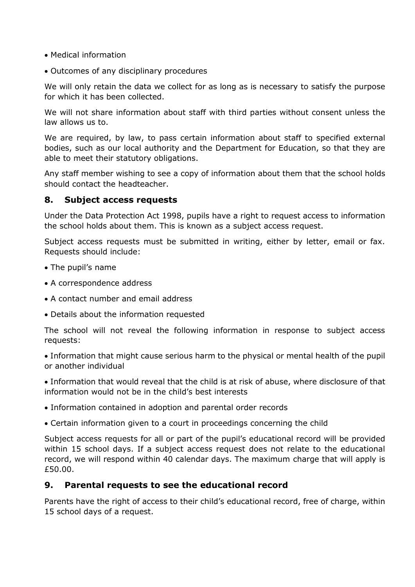- Medical information
- Outcomes of any disciplinary procedures

We will only retain the data we collect for as long as is necessary to satisfy the purpose for which it has been collected.

We will not share information about staff with third parties without consent unless the law allows us to.

We are required, by law, to pass certain information about staff to specified external bodies, such as our local authority and the Department for Education, so that they are able to meet their statutory obligations.

Any staff member wishing to see a copy of information about them that the school holds should contact the headteacher.

# **8. Subject access requests**

Under the Data Protection Act 1998, pupils have a right to request access to information the school holds about them. This is known as a subject access request.

Subject access requests must be submitted in writing, either by letter, email or fax. Requests should include:

- The pupil's name
- A correspondence address
- A contact number and email address
- Details about the information requested

The school will not reveal the following information in response to subject access requests:

• Information that might cause serious harm to the physical or mental health of the pupil or another individual

• Information that would reveal that the child is at risk of abuse, where disclosure of that information would not be in the child's best interests

• Information contained in adoption and parental order records

• Certain information given to a court in proceedings concerning the child

Subject access requests for all or part of the pupil's educational record will be provided within 15 school days. If a subject access request does not relate to the educational record, we will respond within 40 calendar days. The maximum charge that will apply is £50.00.

# **9. Parental requests to see the educational record**

Parents have the right of access to their child's educational record, free of charge, within 15 school days of a request.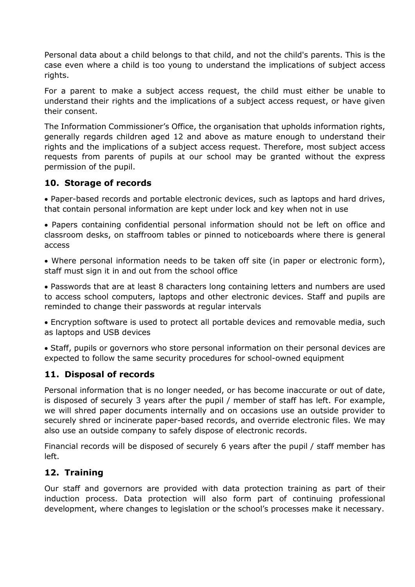Personal data about a child belongs to that child, and not the child's parents. This is the case even where a child is too young to understand the implications of subject access rights.

For a parent to make a subject access request, the child must either be unable to understand their rights and the implications of a subject access request, or have given their consent.

The Information Commissioner's Office, the organisation that upholds information rights, generally regards children aged 12 and above as mature enough to understand their rights and the implications of a subject access request. Therefore, most subject access requests from parents of pupils at our school may be granted without the express permission of the pupil.

# **10. Storage of records**

• Paper-based records and portable electronic devices, such as laptops and hard drives, that contain personal information are kept under lock and key when not in use

• Papers containing confidential personal information should not be left on office and classroom desks, on staffroom tables or pinned to noticeboards where there is general access

• Where personal information needs to be taken off site (in paper or electronic form), staff must sign it in and out from the school office

• Passwords that are at least 8 characters long containing letters and numbers are used to access school computers, laptops and other electronic devices. Staff and pupils are reminded to change their passwords at regular intervals

• Encryption software is used to protect all portable devices and removable media, such as laptops and USB devices

• Staff, pupils or governors who store personal information on their personal devices are expected to follow the same security procedures for school-owned equipment

# **11. Disposal of records**

Personal information that is no longer needed, or has become inaccurate or out of date, is disposed of securely 3 years after the pupil / member of staff has left. For example, we will shred paper documents internally and on occasions use an outside provider to securely shred or incinerate paper-based records, and override electronic files. We may also use an outside company to safely dispose of electronic records.

Financial records will be disposed of securely 6 years after the pupil / staff member has left.

# **12. Training**

Our staff and governors are provided with data protection training as part of their induction process. Data protection will also form part of continuing professional development, where changes to legislation or the school's processes make it necessary.